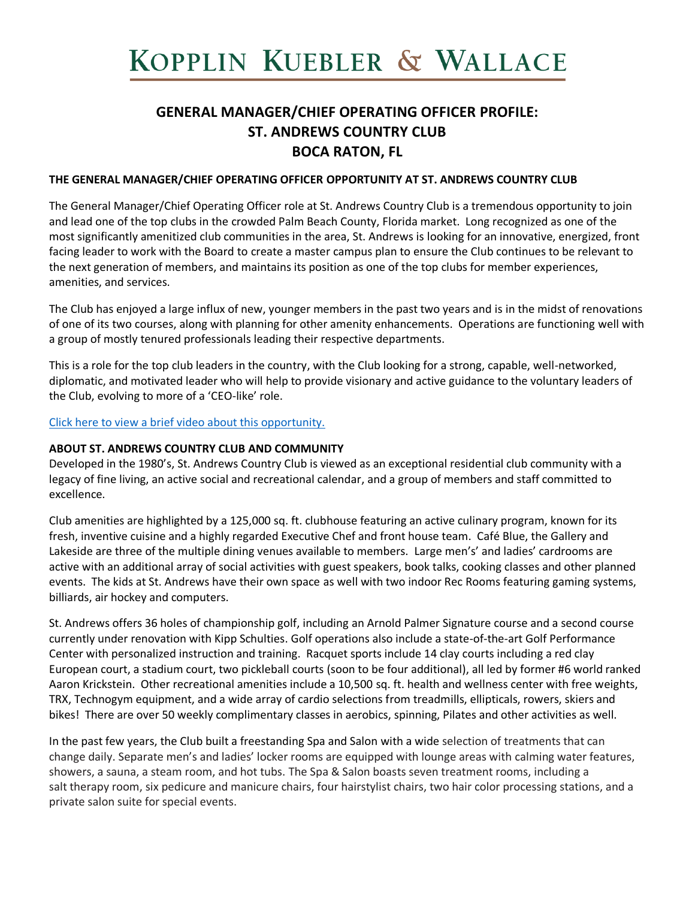# KOPPLIN KUEBLER & WALLACE

# **GENERAL MANAGER/CHIEF OPERATING OFFICER PROFILE: ST. ANDREWS COUNTRY CLUB BOCA RATON, FL**

#### **THE GENERAL MANAGER/CHIEF OPERATING OFFICER OPPORTUNITY AT ST. ANDREWS COUNTRY CLUB**

The General Manager/Chief Operating Officer role at St. Andrews Country Club is a tremendous opportunity to join and lead one of the top clubs in the crowded Palm Beach County, Florida market. Long recognized as one of the most significantly amenitized club communities in the area, St. Andrews is looking for an innovative, energized, front facing leader to work with the Board to create a master campus plan to ensure the Club continues to be relevant to the next generation of members, and maintains its position as one of the top clubs for member experiences, amenities, and services.

The Club has enjoyed a large influx of new, younger members in the past two years and is in the midst of renovations of one of its two courses, along with planning for other amenity enhancements. Operations are functioning well with a group of mostly tenured professionals leading their respective departments.

This is a role for the top club leaders in the country, with the Club looking for a strong, capable, well-networked, diplomatic, and motivated leader who will help to provide visionary and active guidance to the voluntary leaders of the Club, evolving to more of a 'CEO-like' role.

[Click here to view a brief video about this opportunity.](https://www.youtube.com/watch?v=IzOhr4r853w)

#### **ABOUT ST. ANDREWS COUNTRY CLUB AND COMMUNITY**

Developed in the 1980's, St. Andrews Country Club is viewed as an exceptional residential club community with a legacy of fine living, an active social and recreational calendar, and a group of members and staff committed to excellence.

Club amenities are highlighted by a 125,000 sq. ft. clubhouse featuring an active culinary program, known for its fresh, inventive cuisine and a highly regarded Executive Chef and front house team. Café Blue, the Gallery and Lakeside are three of the multiple dining venues available to members. Large men's' and ladies' cardrooms are active with an additional array of social activities with guest speakers, book talks, cooking classes and other planned events. The kids at St. Andrews have their own space as well with two indoor Rec Rooms featuring gaming systems, billiards, air hockey and computers.

St. Andrews offers 36 holes of championship golf, including an Arnold Palmer Signature course and a second course currently under renovation with Kipp Schulties. Golf operations also include a state-of-the-art Golf Performance Center with personalized instruction and training. Racquet sports include 14 clay courts including a red clay European court, a stadium court, two pickleball courts (soon to be four additional), all led by former #6 world ranked Aaron Krickstein. Other recreational amenities include a 10,500 sq. ft. health and wellness center with free weights, TRX, Technogym equipment, and a wide array of cardio selections from treadmills, ellipticals, rowers, skiers and bikes! There are over 50 weekly complimentary classes in aerobics, spinning, Pilates and other activities as well.

In the past few years, the Club built a freestanding Spa and Salon with a wide selection of treatments that can change daily. Separate men's and ladies' locker rooms are equipped with lounge areas with calming water features, showers, a sauna, a steam room, and hot tubs. The Spa & Salon boasts seven treatment rooms, including a salt therapy room, six pedicure and manicure chairs, four hairstylist chairs, two hair color processing stations, and a private salon suite for special events.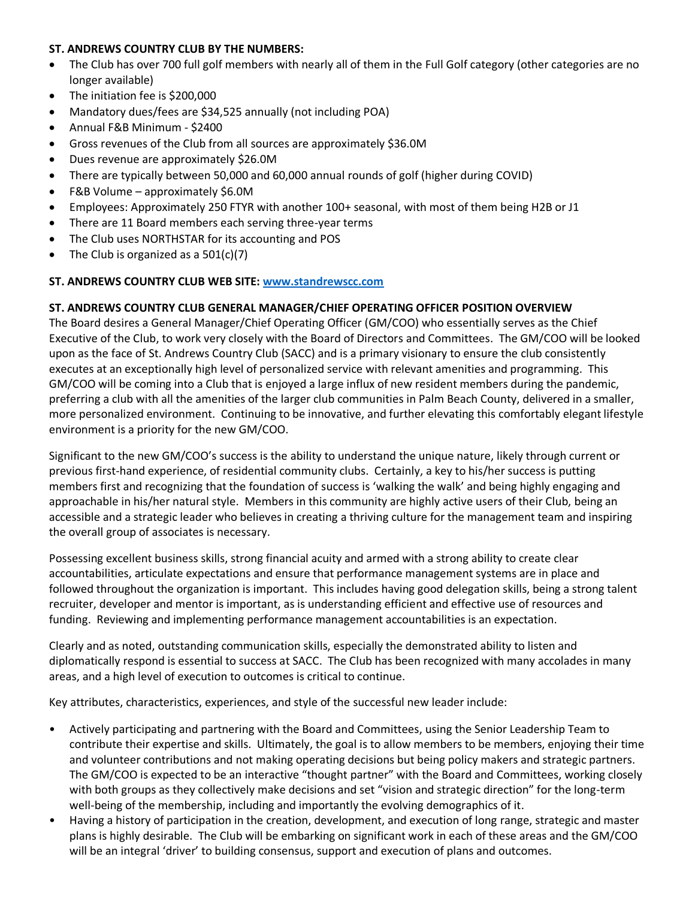#### **ST. ANDREWS COUNTRY CLUB BY THE NUMBERS:**

- The Club has over 700 full golf members with nearly all of them in the Full Golf category (other categories are no longer available)
- The initiation fee is \$200,000
- Mandatory dues/fees are \$34,525 annually (not including POA)
- Annual F&B Minimum \$2400
- Gross revenues of the Club from all sources are approximately \$36.0M
- Dues revenue are approximately \$26.0M
- There are typically between 50,000 and 60,000 annual rounds of golf (higher during COVID)
- F&B Volume approximately \$6.0M
- Employees: Approximately 250 FTYR with another 100+ seasonal, with most of them being H2B or J1
- There are 11 Board members each serving three-year terms
- The Club uses NORTHSTAR for its accounting and POS
- The Club is organized as a  $501(c)(7)$

#### **ST. ANDREWS COUNTRY CLUB WEB SITE: [www.standrewscc.com](http://www.standrewscc.com/)**

#### **ST. ANDREWS COUNTRY CLUB GENERAL MANAGER/CHIEF OPERATING OFFICER POSITION OVERVIEW**

The Board desires a General Manager/Chief Operating Officer (GM/COO) who essentially serves as the Chief Executive of the Club, to work very closely with the Board of Directors and Committees. The GM/COO will be looked upon as the face of St. Andrews Country Club (SACC) and is a primary visionary to ensure the club consistently executes at an exceptionally high level of personalized service with relevant amenities and programming. This GM/COO will be coming into a Club that is enjoyed a large influx of new resident members during the pandemic, preferring a club with all the amenities of the larger club communities in Palm Beach County, delivered in a smaller, more personalized environment. Continuing to be innovative, and further elevating this comfortably elegant lifestyle environment is a priority for the new GM/COO.

Significant to the new GM/COO's success is the ability to understand the unique nature, likely through current or previous first-hand experience, of residential community clubs. Certainly, a key to his/her success is putting members first and recognizing that the foundation of success is 'walking the walk' and being highly engaging and approachable in his/her natural style. Members in this community are highly active users of their Club, being an accessible and a strategic leader who believes in creating a thriving culture for the management team and inspiring the overall group of associates is necessary.

Possessing excellent business skills, strong financial acuity and armed with a strong ability to create clear accountabilities, articulate expectations and ensure that performance management systems are in place and followed throughout the organization is important. This includes having good delegation skills, being a strong talent recruiter, developer and mentor is important, as is understanding efficient and effective use of resources and funding. Reviewing and implementing performance management accountabilities is an expectation.

Clearly and as noted, outstanding communication skills, especially the demonstrated ability to listen and diplomatically respond is essential to success at SACC. The Club has been recognized with many accolades in many areas, and a high level of execution to outcomes is critical to continue.

Key attributes, characteristics, experiences, and style of the successful new leader include:

- Actively participating and partnering with the Board and Committees, using the Senior Leadership Team to contribute their expertise and skills. Ultimately, the goal is to allow members to be members, enjoying their time and volunteer contributions and not making operating decisions but being policy makers and strategic partners. The GM/COO is expected to be an interactive "thought partner" with the Board and Committees, working closely with both groups as they collectively make decisions and set "vision and strategic direction" for the long-term well-being of the membership, including and importantly the evolving demographics of it.
- Having a history of participation in the creation, development, and execution of long range, strategic and master plans is highly desirable. The Club will be embarking on significant work in each of these areas and the GM/COO will be an integral 'driver' to building consensus, support and execution of plans and outcomes.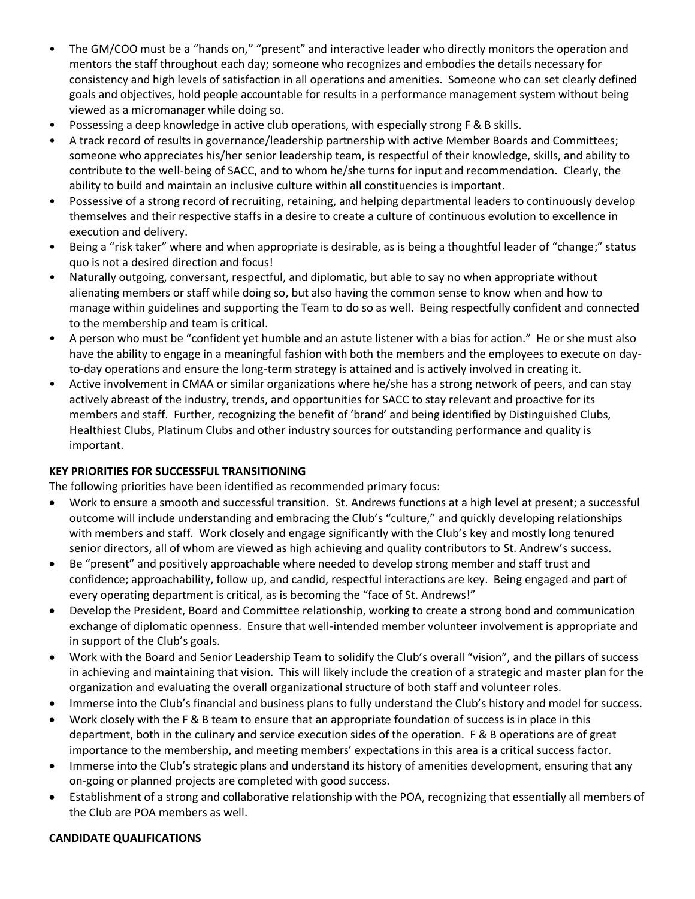- The GM/COO must be a "hands on," "present" and interactive leader who directly monitors the operation and mentors the staff throughout each day; someone who recognizes and embodies the details necessary for consistency and high levels of satisfaction in all operations and amenities. Someone who can set clearly defined goals and objectives, hold people accountable for results in a performance management system without being viewed as a micromanager while doing so.
- Possessing a deep knowledge in active club operations, with especially strong F & B skills.
- A track record of results in governance/leadership partnership with active Member Boards and Committees; someone who appreciates his/her senior leadership team, is respectful of their knowledge, skills, and ability to contribute to the well-being of SACC, and to whom he/she turns for input and recommendation. Clearly, the ability to build and maintain an inclusive culture within all constituencies is important.
- Possessive of a strong record of recruiting, retaining, and helping departmental leaders to continuously develop themselves and their respective staffs in a desire to create a culture of continuous evolution to excellence in execution and delivery.
- Being a "risk taker" where and when appropriate is desirable, as is being a thoughtful leader of "change;" status quo is not a desired direction and focus!
- Naturally outgoing, conversant, respectful, and diplomatic, but able to say no when appropriate without alienating members or staff while doing so, but also having the common sense to know when and how to manage within guidelines and supporting the Team to do so as well. Being respectfully confident and connected to the membership and team is critical.
- A person who must be "confident yet humble and an astute listener with a bias for action." He or she must also have the ability to engage in a meaningful fashion with both the members and the employees to execute on dayto-day operations and ensure the long-term strategy is attained and is actively involved in creating it.
- Active involvement in CMAA or similar organizations where he/she has a strong network of peers, and can stay actively abreast of the industry, trends, and opportunities for SACC to stay relevant and proactive for its members and staff. Further, recognizing the benefit of 'brand' and being identified by Distinguished Clubs, Healthiest Clubs, Platinum Clubs and other industry sources for outstanding performance and quality is important.

#### **KEY PRIORITIES FOR SUCCESSFUL TRANSITIONING**

The following priorities have been identified as recommended primary focus:

- Work to ensure a smooth and successful transition. St. Andrews functions at a high level at present; a successful outcome will include understanding and embracing the Club's "culture," and quickly developing relationships with members and staff. Work closely and engage significantly with the Club's key and mostly long tenured senior directors, all of whom are viewed as high achieving and quality contributors to St. Andrew's success.
- Be "present" and positively approachable where needed to develop strong member and staff trust and confidence; approachability, follow up, and candid, respectful interactions are key. Being engaged and part of every operating department is critical, as is becoming the "face of St. Andrews!"
- Develop the President, Board and Committee relationship, working to create a strong bond and communication exchange of diplomatic openness. Ensure that well-intended member volunteer involvement is appropriate and in support of the Club's goals.
- Work with the Board and Senior Leadership Team to solidify the Club's overall "vision", and the pillars of success in achieving and maintaining that vision. This will likely include the creation of a strategic and master plan for the organization and evaluating the overall organizational structure of both staff and volunteer roles.
- Immerse into the Club's financial and business plans to fully understand the Club's history and model for success.
- Work closely with the F & B team to ensure that an appropriate foundation of success is in place in this department, both in the culinary and service execution sides of the operation. F & B operations are of great importance to the membership, and meeting members' expectations in this area is a critical success factor.
- Immerse into the Club's strategic plans and understand its history of amenities development, ensuring that any on-going or planned projects are completed with good success.
- Establishment of a strong and collaborative relationship with the POA, recognizing that essentially all members of the Club are POA members as well.

#### **CANDIDATE QUALIFICATIONS**